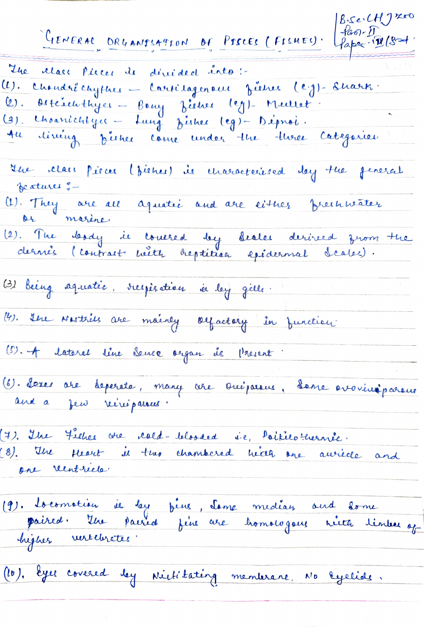B. Se CH 7 70  $-$ fao $-1$ GENERAL DRUANTSATION OF PISCES (FISHES). Paper-11/82 The class places de dérivaled into:-(1). Chandré chythes - Cartilagenous fishes (eg)-Sharts. Osteinethyer - Bony Lisher leg) - Meillet.<br>Charrichtyer - Lung Disher leg) - Déproi.  $\left( 2\right)$  .  $\left( 3\right)$  . lineing pistier come under the there Categories  $4u$ the class piece (fieles) is characterised day the feneral Jeatures :-(1). They are all aquatic and are littles freshmater de marine.<br>(2). The lordy is courred by Lealer derived zrom the (3) being aquatie, resperation in leg gille. (4). Ille Nestrels are mainly objactory in function. (S). A lateral line Sence organ de Present (6). Peres are deperate, many are Oreipairie, dans evolicitifications (7). The Fieher are cald-blooded i.e., Poikilo-hernie.<br>(8). The Heart is two chambered head one auriede and<br>one reintriele. (9). Locomotion ie les fine, Same median and some<br>paired. Une pairied fine are homologous nieta timber of (10), Eyes covered dey Nichtkating membrane, No Eyelide.